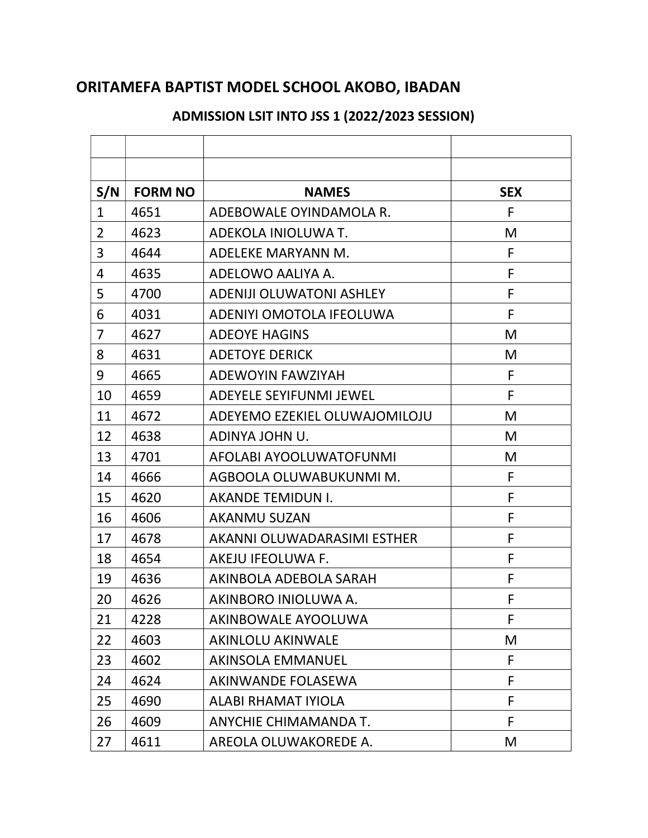## ORITAMEFA BAPTIST MODEL SCHOOL AKOBO, IBADAN

## S/N | FORM NO | NAMES | SEX 1 4651 ADEBOWALE OYINDAMOLA R. 2 4623 ADEKOLA INIOLUWA T. 3 4644 ADELEKE MARYANN M. F 4 4635 ADELOWO AALIYA A. 5 4700 ADENIJI OLUWATONI ASHLEY F 6 4031 ADENIYI OMOTOLA IFEOLUWA F 7 4627 ADEOYE HAGINS NO MBL 2012 8 4631 ADETOYE DERICK NORTH M 9 4665 ADEWOYIN FAWZIYAH F 10 4659 ADEYELE SEYIFUNMI JEWEL F 11 4672 | ADEYEMO EZEKIEL OLUWAJOMILOJU | M 12 | 4638 | ADINYA JOHN U. | M 13 | 4701 | AFOLABI AYOOLUWATOFUNMI | M 14 4666 AGBOOLA OLUWABUKUNMI M. 15 4620 AKANDE TEMIDUN I. F 16 4606 AKANMU SUZAN F 17 4678 | AKANNI OLUWADARASIMI ESTHER F 18 4654 AKEJU IFEOLUWA F. F 19 4636 AKINBOLA ADEBOLA SARAH F 20 4626 AKINBORO INIOLUWA A. 21 4228 AKINBOWALE AYOOLUWA F 22 4603 AKINLOLU AKINWALE N 23 4602 AKINSOLA EMMANUEL F 24 4624 AKINWANDE FOLASEWA F 25 4690 ALABI RHAMAT IYIOLA F 26 4609 ANYCHIE CHIMAMANDA T. F 27 4611 AREOLA OLUWAKOREDE A. M

## ADMISSION LSIT INTO JSS 1 (2022/2023 SESSION)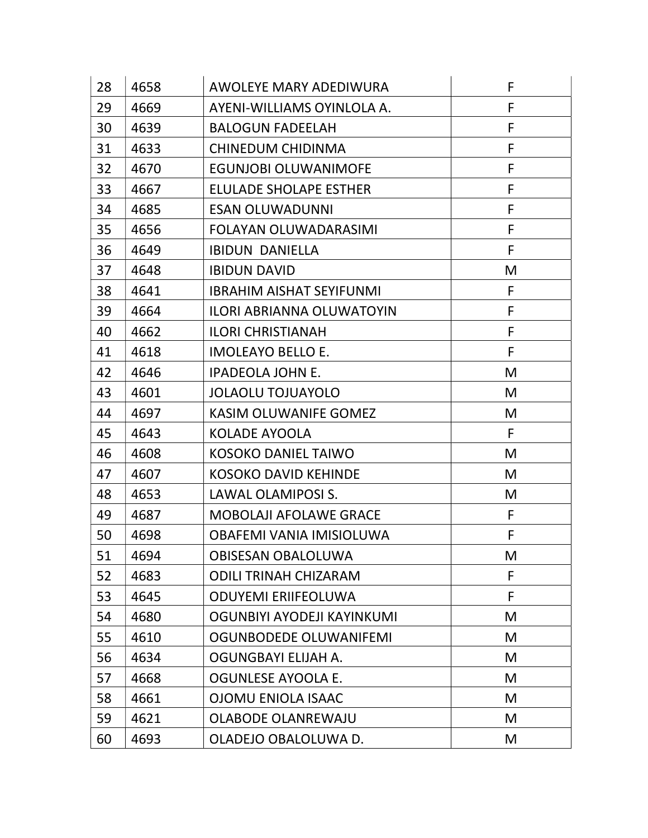| 28 | 4658 | <b>AWOLEYE MARY ADEDIWURA</b>    | F |
|----|------|----------------------------------|---|
| 29 | 4669 | AYENI-WILLIAMS OYINLOLA A.       | F |
| 30 | 4639 | <b>BALOGUN FADEELAH</b>          | F |
| 31 | 4633 | CHINEDUM CHIDINMA                | F |
| 32 | 4670 | <b>EGUNJOBI OLUWANIMOFE</b>      | F |
| 33 | 4667 | <b>ELULADE SHOLAPE ESTHER</b>    | F |
| 34 | 4685 | <b>ESAN OLUWADUNNI</b>           | F |
| 35 | 4656 | <b>FOLAYAN OLUWADARASIMI</b>     | F |
| 36 | 4649 | <b>IBIDUN DANIELLA</b>           | F |
| 37 | 4648 | <b>IBIDUN DAVID</b>              | M |
| 38 | 4641 | <b>IBRAHIM AISHAT SEYIFUNMI</b>  | F |
| 39 | 4664 | <b>ILORI ABRIANNA OLUWATOYIN</b> | F |
| 40 | 4662 | <b>ILORI CHRISTIANAH</b>         | F |
| 41 | 4618 | <b>IMOLEAYO BELLO E.</b>         | F |
| 42 | 4646 | <b>IPADEOLA JOHN E.</b>          | M |
| 43 | 4601 | <b>JOLAOLU TOJUAYOLO</b>         | M |
| 44 | 4697 | <b>KASIM OLUWANIFE GOMEZ</b>     | M |
| 45 | 4643 | <b>KOLADE AYOOLA</b>             | F |
| 46 | 4608 | <b>KOSOKO DANIEL TAIWO</b>       | M |
| 47 | 4607 | <b>KOSOKO DAVID KEHINDE</b>      | M |
| 48 | 4653 | LAWAL OLAMIPOSI S.               | M |
| 49 | 4687 | <b>MOBOLAJI AFOLAWE GRACE</b>    | F |
| 50 | 4698 | OBAFEMI VANIA IMISIOLUWA         | F |
| 51 | 4694 | <b>OBISESAN OBALOLUWA</b>        | M |
| 52 | 4683 | <b>ODILI TRINAH CHIZARAM</b>     | F |
| 53 | 4645 | <b>ODUYEMI ERIIFEOLUWA</b>       | F |
| 54 | 4680 | OGUNBIYI AYODEJI KAYINKUMI       | M |
| 55 | 4610 | <b>OGUNBODEDE OLUWANIFEMI</b>    | M |
| 56 | 4634 | OGUNGBAYI ELIJAH A.              | M |
| 57 | 4668 | <b>OGUNLESE AYOOLA E.</b>        | M |
| 58 | 4661 | <b>OJOMU ENIOLA ISAAC</b>        | M |
| 59 | 4621 | <b>OLABODE OLANREWAJU</b>        | M |
| 60 | 4693 | OLADEJO OBALOLUWA D.             | M |